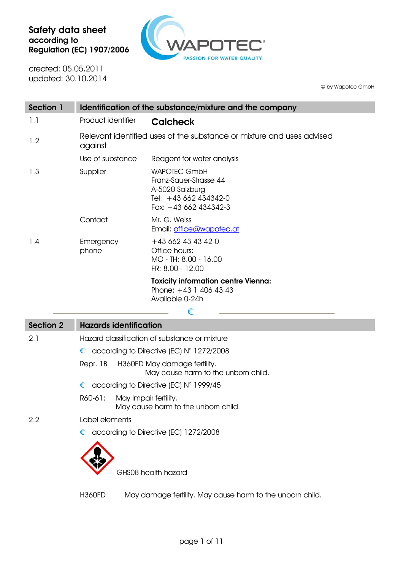

created: 05.05.2011 updated: 30.10.2014

© by Wapotec GmbH

| Section 1 | Identification of the substance/mixture and the company                          |                                                                                                                    |  |
|-----------|----------------------------------------------------------------------------------|--------------------------------------------------------------------------------------------------------------------|--|
| 1.1       | Product identifier                                                               | <b>Calcheck</b>                                                                                                    |  |
| 1.2       | Relevant identified uses of the substance or mixture and uses advised<br>against |                                                                                                                    |  |
|           | Use of substance                                                                 | Reagent for water analysis                                                                                         |  |
| 1.3       | Supplier                                                                         | <b>WAPOTEC GmbH</b><br>Franz-Sauer-Strasse 44<br>A-5020 Salzburg<br>Tel: +43 662 434342-0<br>Fax: $+43662434342-3$ |  |
|           | Contact                                                                          | Mr. G. Weiss<br>Email: office@wapotec.at                                                                           |  |
| 1.4       | Emergency<br>phone                                                               | $+436624343420$<br>Office hours:<br>MO - TH: 8.00 - 16.00<br>FR: 8.00 - 12.00                                      |  |
|           |                                                                                  | <b>Toxicity information centre Vienna:</b><br>Phone: $+43$ 1 406 43 43<br>Available 0-24h                          |  |
|           |                                                                                  |                                                                                                                    |  |

| Section 2 | <b>Hazards identification</b> |                                                                                                                                                                                                                                                                                                  |
|-----------|-------------------------------|--------------------------------------------------------------------------------------------------------------------------------------------------------------------------------------------------------------------------------------------------------------------------------------------------|
| 2.1       |                               | Hazard classification of substance or mixture                                                                                                                                                                                                                                                    |
|           |                               | $\bullet$ according to Directive (EC) $N^{\circ}$ 1272/2008                                                                                                                                                                                                                                      |
|           |                               | Repr. 1B H360FD May damage fertility.<br>May cause harm to the unborn child.                                                                                                                                                                                                                     |
|           |                               | $\mathbb{R}$ and $\mathbb{R}$ are $\mathbb{R}$ and $\mathbb{R}$ are $\mathbb{R}$ and $\mathbb{R}$ and $\mathbb{R}$ are $\mathbb{R}$ and $\mathbb{R}$ are $\mathbb{R}$ and $\mathbb{R}$ are $\mathbb{R}$ and $\mathbb{R}$ are $\mathbb{R}$ and $\mathbb{R}$ are $\mathbb{R}$ are $\mathbb{R}$ and |

- C according to Directive (EC) N° 1999/45
- R60-61: May impair fertility. May cause harm to the unborn child.

2.2 Label elements

C according to Directive (EC) 1272/2008



GHS08 health hazard

H360FD May damage fertility. May cause harm to the unborn child.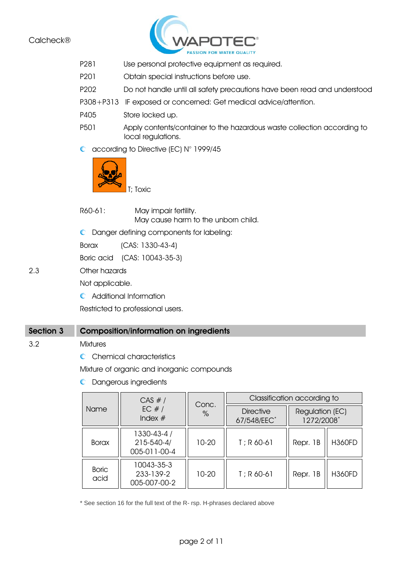

- P281 Use personal protective equipment as required.
- P201 Obtain special instructions before use.
- P202 Do not handle until all safety precautions have been read and understood
- P308+P313 IF exposed or concerned: Get medical advice/attention.
- P405 Store locked up.
- P501 Apply contents/container to the hazardous waste collection according to local regulations.
- C according to Directive (EC) N° 1999/45



R60-61: May impair fertility.

May cause harm to the unborn child.

Danger defining components for labeling:

Borax (CAS: 1330-43-4)

Boric acid (CAS: 10043-35-3)

2.3 Other hazards

Not applicable.

Additional Information

Restricted to professional users.

### Section 3 Composition/information on ingredients

#### 3.2 Mixtures

C Chemical characteristics

Mixture of organic and inorganic compounds

**C** Dangerous ingredients

|                      | CAS #/                                    |               | Classification according to     |                               |               |
|----------------------|-------------------------------------------|---------------|---------------------------------|-------------------------------|---------------|
| <b>Name</b>          | EC $#/$<br>Index $#$                      | Conc.<br>$\%$ | <b>Directive</b><br>67/548/EEC* | Regulation (EC)<br>1272/2008* |               |
| <b>Borax</b>         | 1330-43-4 /<br>215-540-4/<br>005-011-00-4 | 10-20         | $T$ ; R 60-61                   | Repr. 1B                      | <b>H360FD</b> |
| <b>Boric</b><br>acid | 10043-35-3<br>233-139-2<br>005-007-00-2   | 10-20         | $T$ ; R 60-61                   | Repr. 1B                      | <b>H360FD</b> |

\* See section 16 for the full text of the R- rsp. H-phrases declared above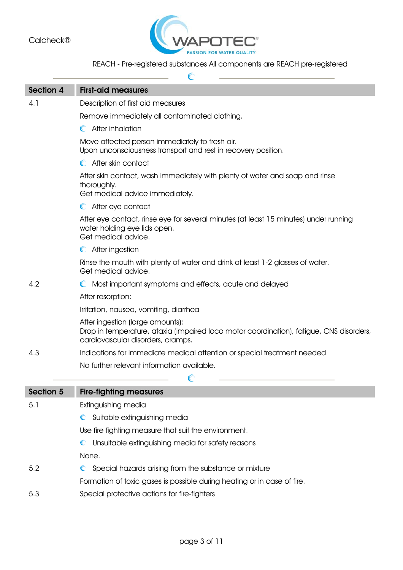

# REACH - Pre-registered substances All components are REACH pre-registered

| <b>Section 4</b> | <b>First-aid measures</b>                                                                                                                                        |
|------------------|------------------------------------------------------------------------------------------------------------------------------------------------------------------|
| 4.1              | Description of first aid measures                                                                                                                                |
|                  | Remove immediately all contaminated clothing.                                                                                                                    |
|                  | C After inhalation                                                                                                                                               |
|                  | Move affected person immediately to fresh air.<br>Upon unconsciousness transport and rest in recovery position.                                                  |
|                  | C After skin contact                                                                                                                                             |
|                  | After skin contact, wash immediately with plenty of water and soap and rinse<br>thoroughly.<br>Get medical advice immediately.                                   |
|                  | After eye contact<br>$\mathbb C$                                                                                                                                 |
|                  | After eye contact, rinse eye for several minutes (at least 15 minutes) under running<br>water holding eye lids open.<br>Get medical advice.                      |
|                  | C After ingestion                                                                                                                                                |
|                  | Rinse the mouth with plenty of water and drink at least 1-2 glasses of water.<br>Get medical advice.                                                             |
| 4.2              | Most important symptoms and effects, acute and delayed<br>C                                                                                                      |
|                  | After resorption:                                                                                                                                                |
|                  | Irritation, nausea, vomiting, diarrhea                                                                                                                           |
|                  | After ingestion (large amounts):<br>Drop in temperature, ataxia (impaired loco motor coordination), fatigue, CNS disorders,<br>cardiovascular disorders, cramps. |
| 4.3              | Indications for immediate medical attention or special treatment needed                                                                                          |
|                  | No further relevant information available.                                                                                                                       |
|                  |                                                                                                                                                                  |
| Section 5        | <b>Fire-fighting measures</b>                                                                                                                                    |
| 5.1              | Extinguishing media                                                                                                                                              |
|                  | Suitable extinguishing media                                                                                                                                     |
|                  | Use fire fighting measure that suit the environment.                                                                                                             |
|                  | Unsuitable extinguishing media for safety reasons                                                                                                                |
|                  | None.                                                                                                                                                            |
| 5.2              | $\mathbb{C}$<br>Special hazards arising from the substance or mixture                                                                                            |
|                  | Formation of toxic gases is possible during heating or in case of fire.                                                                                          |
| 5.3              | Special protective actions for fire-fighters                                                                                                                     |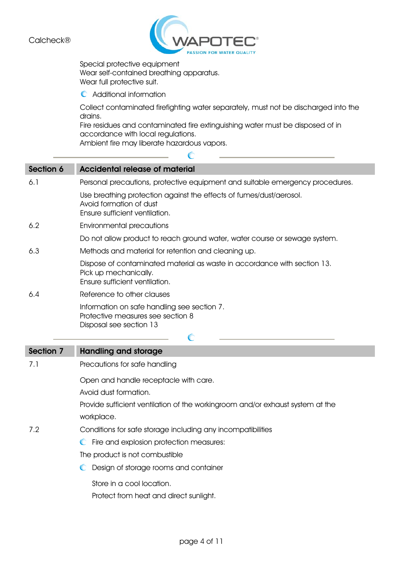

Special protective equipment Wear self-contained breathing apparatus. Wear full protective suit.

Additional information

Collect contaminated firefighting water separately, must not be discharged into the drains.

Fire residues and contaminated fire extinguishing water must be disposed of in accordance with local regulations.

Ć

Ambient fire may liberate hazardous vapors.

| Section 6 | <b>Accidental release of material</b>                                                                                               |
|-----------|-------------------------------------------------------------------------------------------------------------------------------------|
| 6.1       | Personal precautions, protective equipment and suitable emergency procedures.                                                       |
|           | Use breathing protection against the effects of fumes/dust/aerosol.<br>Avoid formation of dust<br>Ensure sufficient ventilation.    |
| 6.2       | <b>Environmental precautions</b>                                                                                                    |
|           | Do not allow product to reach ground water, water course or sewage system.                                                          |
| 6.3       | Methods and material for retention and cleaning up.                                                                                 |
|           | Dispose of contaminated material as waste in accordance with section 13.<br>Pick up mechanically.<br>Ensure sufficient ventilation. |
| 6.4       | Reference to other clauses                                                                                                          |
|           | Information on safe handling see section 7.<br>Protective measures see section 8<br>Disposal see section 13                         |
|           |                                                                                                                                     |
|           | $\mathbb{C}$                                                                                                                        |
| Section 7 | <b>Handling and storage</b>                                                                                                         |
| 7.1       | Precautions for safe handling                                                                                                       |
|           | Open and handle receptacle with care.                                                                                               |
|           | Avoid dust formation.                                                                                                               |
|           | Provide sufficient ventilation of the workingroom and/or exhaust system at the                                                      |
|           | workplace.                                                                                                                          |
| 7.2       | Conditions for safe storage including any incompatibilities                                                                         |
|           | $\mathbb{C}$<br>Fire and explosion protection measures:                                                                             |
|           | The product is not combustible                                                                                                      |
|           | Design of storage rooms and container<br>C                                                                                          |
|           | Store in a cool location.                                                                                                           |
|           | Protect from heat and direct sunlight.                                                                                              |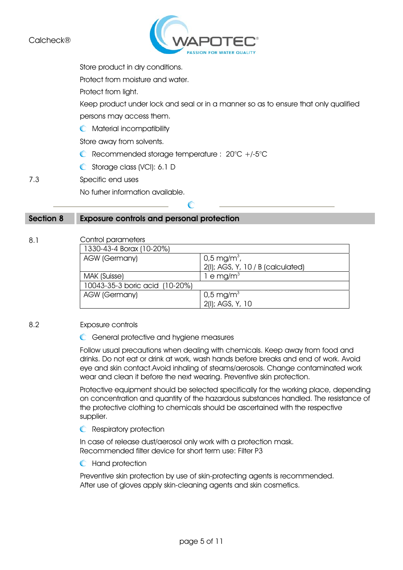

Store product in dry conditions.

Protect from moisture and water.

Protect from light.

Keep product under lock and seal or in a manner so as to ensure that only qualified persons may access them.

**C** Material incompatibility

Store away from solvents.

Recommended storage temperature : 20°C +/-5°C

 $\mathcal C$ 

Storage class (VCI): 6.1 D

7.3 Specific end uses

No furher information available.

### Section 8 Exposure controls and personal protection

# 8.1 Control parameters

| 1330-43-4 Borax (10-20%)       |                                   |
|--------------------------------|-----------------------------------|
| <b>AGW (Germany)</b>           | $0.5 \,\mathrm{mg/m^3}$ ,         |
|                                | 2(I); AGS, Y, 10 / B (calculated) |
| MAK (Suisse)                   | 1 e mg/m $3$                      |
| 10043-35-3 boric acid (10-20%) |                                   |
| <b>AGW (Germany)</b>           | $0.5 \,\mathrm{mg/m^3}$           |
|                                | 2(I); AGS, Y, 10                  |

#### 8.2 Exposure controls

General protective and hygiene measures

Follow usual precautions when dealing with chemicals. Keep away from food and drinks. Do not eat or drink at work, wash hands before breaks and end of work. Avoid eye and skin contact.Avoid inhaling of steams/aerosols. Change contaminated work wear and clean it before the next wearing. Preventive skin protection.

Protective equipment should be selected specifically for the working place, depending on concentration and quantity of the hazardous substances handled. The resistance of the protective clothing to chemicals should be ascertained with the respective supplier.

**C** Respiratory protection

In case of release dust/aerosol only work with a protection mask. Recommended filter device for short term use: Filter P3

#### **C** Hand protection

Preventive skin protection by use of skin-protecting agents is recommended. After use of gloves apply skin-cleaning agents and skin cosmetics.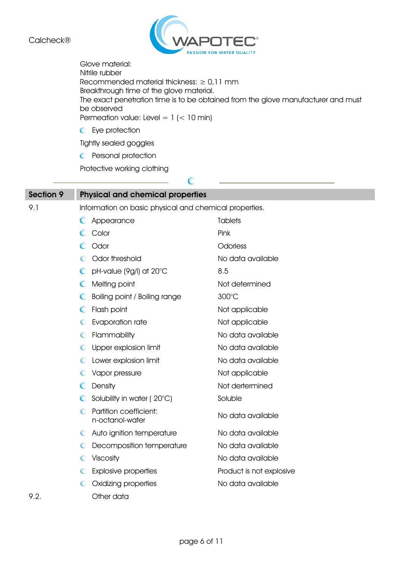

 $\mathbb{C}$ 

Glove material: Nitrile rubber Recommended material thickness:  $\geq 0.11$  mm Breakthrough time of the glove material. The exact penetration time is to be obtained from the glove manufacturer and must be observed Permeation value: Level =  $1$  (< 10 min) **C** Eye protection Tightly sealed goggles

**C** Personal protection

Protective working clothing

| <b>Section 9</b> | <b>Physical and chemical properties</b>                |                          |  |  |
|------------------|--------------------------------------------------------|--------------------------|--|--|
| 9.1              | Information on basic physical and chemical properties. |                          |  |  |
|                  | Appearance                                             | <b>Tablets</b>           |  |  |
|                  | Color<br>O                                             | Pink                     |  |  |
|                  | Odor<br>$\mathbb{C}$                                   | Odorless                 |  |  |
|                  | Odor threshold                                         | No data available        |  |  |
|                  | pH-value (9g/l) at 20°C                                | 8.5                      |  |  |
|                  | Melting point<br>$\mathbb{C}$                          | Not determined           |  |  |
|                  | C<br>Boiling point / Boiling range                     | 300°C                    |  |  |
|                  | $\mathbb{C}$<br>Flash point                            | Not applicable           |  |  |
|                  | Evaporation rate                                       | Not applicable           |  |  |
|                  | Flammability<br>$\mathbb C$                            | No data available        |  |  |
|                  | C Upper explosion limit                                | No data available        |  |  |
|                  | Lower explosion limit<br>C                             | No data available        |  |  |
|                  | C Vapor pressure                                       | Not applicable           |  |  |
|                  | Density                                                | Not dertermined          |  |  |
|                  | Solubility in water (20°C)                             | Soluble                  |  |  |
|                  | Partition coefficient:<br>€<br>n-octanol-water         | No data available        |  |  |
|                  | Auto ignition temperature<br>$\mathbb C$               | No data available        |  |  |
|                  | Decomposition temperature<br>C                         | No data available        |  |  |
|                  | Viscosity<br>$\mathbb C$                               | No data available        |  |  |
|                  | <b>Explosive properties</b><br>C                       | Product is not explosive |  |  |
|                  | Oxidizing properties<br>C                              | No data available        |  |  |
| 9.2.             | Other data                                             |                          |  |  |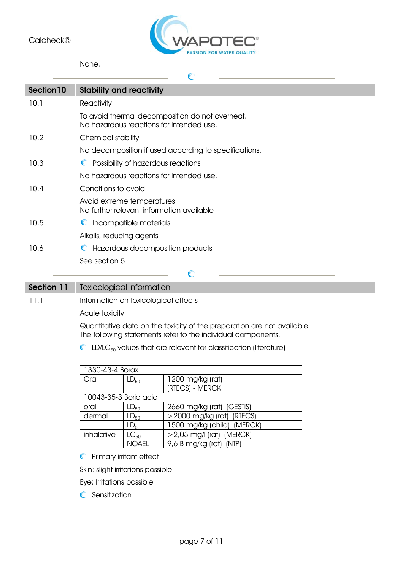

C

None.

| Section 10 | <b>Stability and reactivity</b>                                                             |
|------------|---------------------------------------------------------------------------------------------|
| 10.1       | Reactivity                                                                                  |
|            | To avoid thermal decomposition do not overheat.<br>No hazardous reactions for intended use. |
| 10.2       | Chemical stability                                                                          |
|            | No decomposition if used according to specifications.                                       |
| 10.3       | C Possibility of hazardous reactions                                                        |
|            | No hazardous reactions for intended use.                                                    |
| 10.4       | Conditions to avoid                                                                         |
|            | Avoid extreme temperatures<br>No further relevant information available                     |
| 10.5       | Incompatible materials<br>$\mathbb{C}$                                                      |
|            | Alkalis, reducing agents                                                                    |
| 10.6       | Hazardous decomposition products<br>$\mathbb{C}$                                            |
|            | See section 5                                                                               |
|            |                                                                                             |

Section 11 Toxicological information

11.1 Information on toxicological effects

Acute toxicity

Quantitative data on the toxicity of the preparation are not available. The following statements refer to the individual components.

 $\mathbb{C}$  LD/LC<sub>50</sub> values that are relevant for classification (literature)

| 1330-43-4 Borax       |                 |                              |
|-----------------------|-----------------|------------------------------|
| Oral                  | $LD_{50}$       | 1200 mg/kg (rat)             |
|                       |                 | (RTECS) - MERCK              |
| 10043-35-3 Boric acid |                 |                              |
| oral                  | $LD_{50}$       | 2660 mg/kg (rat) (GESTIS)    |
| dermal                | $LD_{50}$       | $>$ 2000 mg/kg (rat) (RTECS) |
|                       | LD <sub>0</sub> | 1500 mg/kg (child) (MERCK)   |
| inhalative            | $LC_{50}$       | $>$ 2,03 mg/l (rat) (MERCK)  |
|                       | <b>NOAFI</b>    | 9,6 B mg/kg (rat) (NTP)      |

**C** Primary irritant effect:

Skin: slight irritations possible

Eye: Irritations possible

**C** Sensitization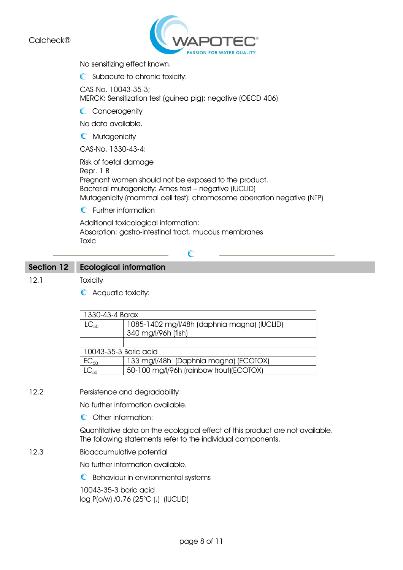

No sensitizing effect known.

C Subacute to chronic toxicity:

CAS-No. 10043-35-3; MERCK: Sensitization test (guinea pig): negative (OECD 406)

C Cancerogenity

No data available.

**C** Mutagenicity

CAS-No. 1330-43-4:

Risk of foetal damage Repr. 1 B Pregnant women should not be exposed to the product. Bacterial mutagenicity: Ames test – negative (IUCLID) Mutagenicity (mammal cell test): chromosome aberration negative (NTP)

**C** Further information

Additional toxicological information: Absorption: gastro-intestinal tract, mucous membranes **Toxic** 

C

# Section 12 Ecological information

12.1 Toxicity

C Acquatic toxicity:

| 1330-43-4 Borax       |                                             |
|-----------------------|---------------------------------------------|
| $LC_{50}$             | 1085-1402 mg/l/48h (daphnia magna) (IUCLID) |
|                       | 340 mg/l/96h (fish)                         |
|                       |                                             |
| 10043-35-3 Boric acid |                                             |
| $EC_{50}$             | 133 mg/l/48h (Daphnia magna) (ECOTOX)       |
| $C_{50}$              | 50-100 mg/l/96h (rainbow trout)(ECOTOX)     |

#### 12.2 Persistence and degradability

No further information available.

C Other information:

Quantitative data on the ecological effect of this product are not available. The following statements refer to the individual components.

12.3 Bioaccumulative potential

No further information available.

 $\mathbb C$  Behaviour in environmental systems

10043-35-3 boric acid log P(o/w) /0.76 (25°C (.) (IUCLID)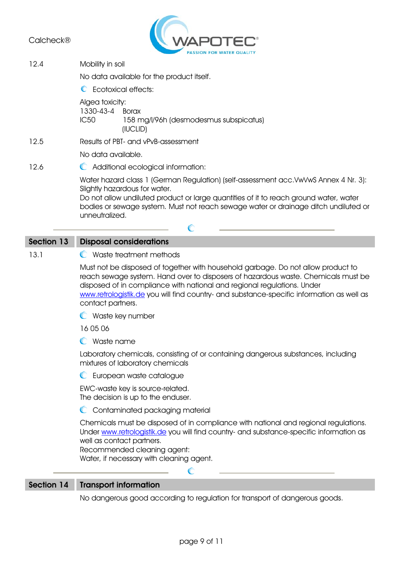

12.4 Mobility in soil

No data available for the product itself.

 $\mathbb C$  Feotoxical effects:

Algea toxicity:

1330-43-4 Borax IC50 158 mg/l/96h (desmodesmus subspicatus) (IUCLID)

12.5 Results of PBT- and vPvB-assessment

No data available.

12.6 C Additional ecological information:

Water hazard class 1 (German Regulation) (self-assessment acc.VwVwS Annex 4 Nr. 3): Slightly hazardous for water.

Do not allow undiluted product or large quantities of it to reach ground water, water bodies or sewage system. Must not reach sewage water or drainage ditch undiluted or unneutralized.

C

# Section 13 Disposal considerations

#### 13.1 C Waste treatment methods

Must not be disposed of together with household garbage. Do not allow product to reach sewage system. Hand over to disposers of hazardous waste. Chemicals must be disposed of in compliance with national and regional regulations. Under www.retrologistik.de you will find country- and substance-specific information as well as contact partners.

Waste key number

16 05 06

Waste name

Laboratory chemicals, consisting of or containing dangerous substances, including mixtures of laboratory chemicals

**C** European waste catalogue

EWC-waste key is source-related. The decision is up to the enduser.

C Contaminated packaging material

Chemicals must be disposed of in compliance with national and regional regulations. Under www.retrologistik.de you will find country- and substance-specific information as well as contact partners.

Recommended cleaning agent: Water, if necessary with cleaning agent.

### Section 14 Transport information

No dangerous good according to regulation for transport of dangerous goods.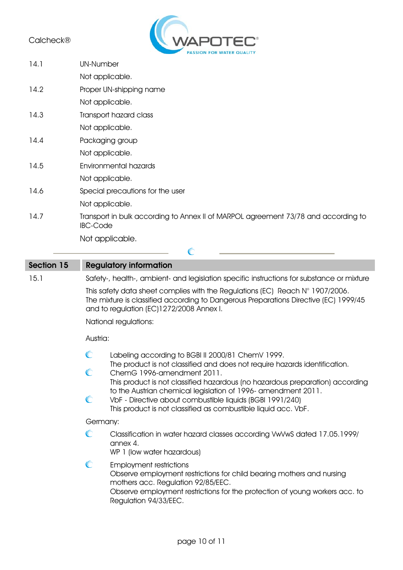

| 14.1 | <b>UN-Number</b>                                                                                      |
|------|-------------------------------------------------------------------------------------------------------|
|      | Not applicable.                                                                                       |
| 14.2 | Proper UN-shipping name                                                                               |
|      | Not applicable.                                                                                       |
| 14.3 | Transport hazard class                                                                                |
|      | Not applicable.                                                                                       |
| 14.4 | Packaging group                                                                                       |
|      | Not applicable.                                                                                       |
| 14.5 | Environmental hazards                                                                                 |
|      | Not applicable.                                                                                       |
| 14.6 | Special precautions for the user                                                                      |
|      | Not applicable.                                                                                       |
| 14.7 | Transport in bulk according to Annex II of MARPOL agreement 73/78 and according to<br><b>IBC-Code</b> |
|      | Not applicable.                                                                                       |

| Section 15 | <b>Regulatory information</b>                                                                                                                                                                                                                                                                                                                                                                                                                                            |
|------------|--------------------------------------------------------------------------------------------------------------------------------------------------------------------------------------------------------------------------------------------------------------------------------------------------------------------------------------------------------------------------------------------------------------------------------------------------------------------------|
| 15.1       | Safety-, health-, ambient- and legislation specific instructions for substance or mixture                                                                                                                                                                                                                                                                                                                                                                                |
|            | This safety data sheet complies with the Regulations (EC) Reach N° 1907/2006.<br>The mixture is classified according to Dangerous Preparations Directive (EC) 1999/45<br>and to regulation (EC)1272/2008 Annex I.                                                                                                                                                                                                                                                        |
|            | National regulations:                                                                                                                                                                                                                                                                                                                                                                                                                                                    |
|            | Austria:                                                                                                                                                                                                                                                                                                                                                                                                                                                                 |
|            | C<br>Labeling according to BGBI II 2000/81 ChemV 1999.<br>The product is not classified and does not require hazards identification.<br>C<br>ChemG 1996-amendment 2011.<br>This product is not classified hazardous (no hazardous preparation) according<br>to the Austrian chemical legislation of 1996- amendment 2011.<br>$\mathbb{C}$<br>VbF - Directive about combustible liquids (BGBI 1991/240)<br>This product is not classified as combustible liquid acc. VbF. |
|            | Germany:<br>C<br>Classification in water hazard classes according VwVwS dated 17.05.1999/<br>annex 4.<br>WP 1 (low water hazardous)                                                                                                                                                                                                                                                                                                                                      |
|            | $\mathbb{C}$<br><b>Employment restrictions</b><br>Observe employment restrictions for child bearing mothers and nursing<br>mothers acc. Regulation 92/85/EEC.<br>Observe employment restrictions for the protection of young workers acc. to<br>Regulation 94/33/EEC.                                                                                                                                                                                                    |